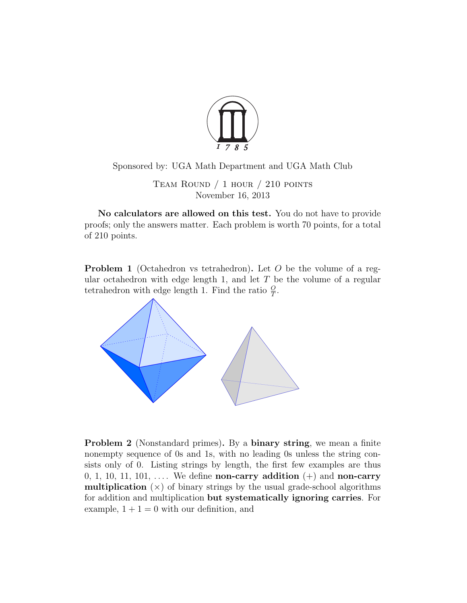

Sponsored by: UGA Math Department and UGA Math Club

Team Round / 1 hour / 210 points November 16, 2013

No calculators are allowed on this test. You do not have to provide proofs; only the answers matter. Each problem is worth 70 points, for a total of 210 points.

Problem 1 (Octahedron vs tetrahedron). Let *O* be the volume of a regular octahedron with edge length 1, and let *T* be the volume of a regular tetrahedron with edge length 1. Find the ratio  $\frac{0}{T}$ .



Problem 2 (Nonstandard primes). By a binary string, we mean a finite nonempty sequence of 0s and 1s, with no leading 0s unless the string consists only of 0. Listing strings by length, the first few examples are thus 0, 1, 10, 11, 101,  $\dots$  We define **non-carry addition**  $(+)$  and **non-carry multiplication**  $(x)$  of binary strings by the usual grade-school algorithms for addition and multiplication but systematically ignoring carries. For example,  $1 + 1 = 0$  with our definition, and